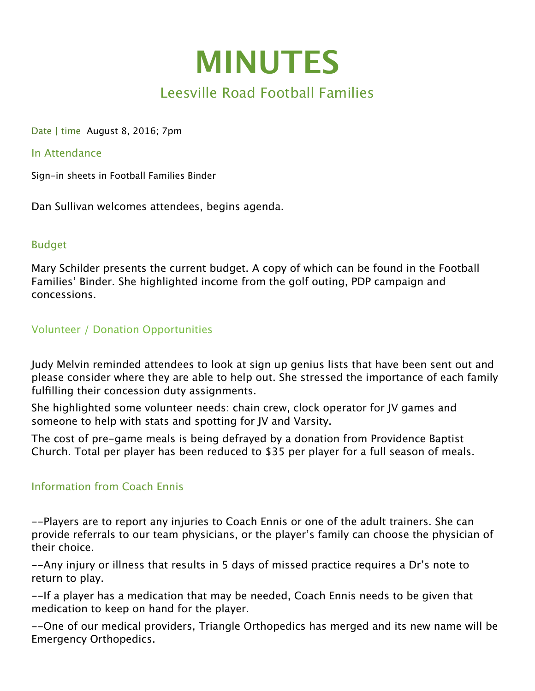

# Leesville Road Football Families

Date | time August 8, 2016; 7pm

#### In Attendance

Sign-in sheets in Football Families Binder

Dan Sullivan welcomes attendees, begins agenda.

#### Budget

Mary Schilder presents the current budget. A copy of which can be found in the Football Families' Binder. She highlighted income from the golf outing, PDP campaign and concessions.

## Volunteer / Donation Opportunities

Judy Melvin reminded attendees to look at sign up genius lists that have been sent out and please consider where they are able to help out. She stressed the importance of each family fulfilling their concession duty assignments.

She highlighted some volunteer needs: chain crew, clock operator for JV games and someone to help with stats and spotting for JV and Varsity.

The cost of pre-game meals is being defrayed by a donation from Providence Baptist Church. Total per player has been reduced to \$35 per player for a full season of meals.

## Information from Coach Ennis

--Players are to report any injuries to Coach Ennis or one of the adult trainers. She can provide referrals to our team physicians, or the player's family can choose the physician of their choice.

--Any injury or illness that results in 5 days of missed practice requires a Dr's note to return to play.

--If a player has a medication that may be needed, Coach Ennis needs to be given that medication to keep on hand for the player.

--One of our medical providers, Triangle Orthopedics has merged and its new name will be Emergency Orthopedics.